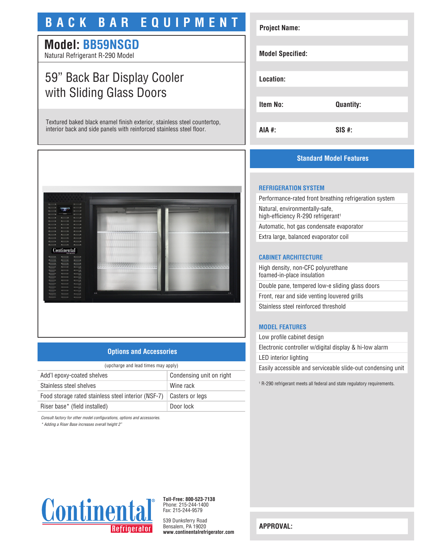# **BACK BAR EQUIPMENT**

## **Model: BB59NSGD**

Natural Refrigerant R-290 Model

## 59" Back Bar Display Cooler with Sliding Glass Doors

Textured baked black enamel finish exterior, stainless steel countertop, interior back and side panels with reinforced stainless steel floor.



### **Standard Model Features**



**Project Name:**

Performance-rated front breathing refrigeration system Natural, environmentally-safe, high-efficiency R-290 refrigerant<sup>1</sup> Automatic, hot gas condensate evaporator

Extra large, balanced evaporator coil

#### **CABINET ARCHITECTURE**

High density, non-CFC polyurethane foamed-in-place insulation Double pane, tempered low-e sliding glass doors Front, rear and side venting louvered grills Stainless steel reinforced threshold

### **MODEL FEATURES**

Low profile cabinet design Electronic controller w/digital display & hi-low alarm LED interior lighting Easily accessible and serviceable slide-out condensing unit

1 R-290 refrigerant meets all federal and state regulatory requirements.



## **Options and Accessories**

| (upcharge and lead times may apply)                 |                          |  |
|-----------------------------------------------------|--------------------------|--|
| Add'l epoxy-coated shelves                          | Condensing unit on right |  |
| Stainless steel shelves                             | Wine rack                |  |
| Food storage rated stainless steel interior (NSF-7) | Casters or legs          |  |
| Riser base* (field installed)                       | Door lock                |  |

*Consult factory for other model configurations, options and accessories.*

*\* Adding a Riser Base increases overall height 2"*



**Toll-Free: 800-523-7138** Phone: 215-244-1400 Fax: 215-244-9579

539 Dunksferry Road Bensalem, PA 19020 **www.continentalrefrigerator.com** 

**APPROVAL:**